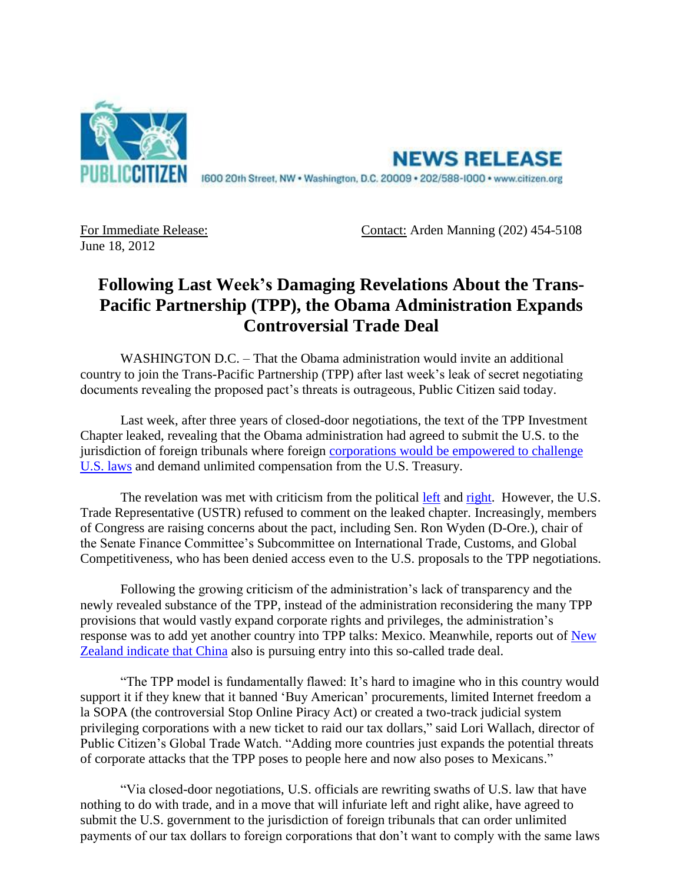

**NEWS RELEASE** 1600 20th Street, NW . Washington, D.C. 20009 . 202/588-1000 . www.citizen.org

June 18, 2012

For Immediate Release: Contact: Arden Manning (202) 454-5108

## **Following Last Week's Damaging Revelations About the Trans-Pacific Partnership (TPP), the Obama Administration Expands Controversial Trade Deal**

WASHINGTON D.C. – That the Obama administration would invite an additional country to join the Trans-Pacific Partnership (TPP) after last week's leak of secret negotiating documents revealing the proposed pact's threats is outrageous, Public Citizen said today.

Last week, after three years of closed-door negotiations, the text of the TPP Investment Chapter leaked, revealing that the Obama administration had agreed to submit the U.S. to the jurisdiction of foreign tribunals where foreign [corporations would be empowered to challenge](http://huff.to/ME9yqY)  [U.S. laws](http://huff.to/ME9yqY) and demand unlimited compensation from the U.S. Treasury.

The revelation was met with criticism from the political [left](http://huff.to/ME9yqY) and [right.](http://bit.ly/KO6wB6) However, the U.S. Trade Representative (USTR) refused to comment on the leaked chapter. Increasingly, members of Congress are raising concerns about the pact, including Sen. Ron Wyden (D-Ore.), chair of the Senate Finance Committee's Subcommittee on International Trade, Customs, and Global Competitiveness, who has been denied access even to the U.S. proposals to the TPP negotiations.

Following the growing criticism of the administration's lack of transparency and the newly revealed substance of the TPP, instead of the administration reconsidering the many TPP provisions that would vastly expand corporate rights and privileges, the administration's response was to add yet another country into TPP talks: Mexico. Meanwhile, reports out of [New](http://bit.ly/MBcbN9)  [Zealand indicate](http://bit.ly/MBcbN9) that China also is pursuing entry into this so-called trade deal.

"The TPP model is fundamentally flawed: It's hard to imagine who in this country would support it if they knew that it banned 'Buy American' procurements, limited Internet freedom a la SOPA (the controversial Stop Online Piracy Act) or created a two-track judicial system privileging corporations with a new ticket to raid our tax dollars," said Lori Wallach, director of Public Citizen's Global Trade Watch. "Adding more countries just expands the potential threats of corporate attacks that the TPP poses to people here and now also poses to Mexicans."

"Via closed-door negotiations, U.S. officials are rewriting swaths of U.S. law that have nothing to do with trade, and in a move that will infuriate left and right alike, have agreed to submit the U.S. government to the jurisdiction of foreign tribunals that can order unlimited payments of our tax dollars to foreign corporations that don't want to comply with the same laws